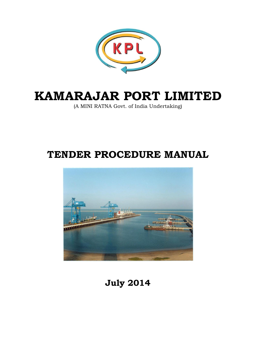

# **KAMARAJAR PORT LIMITED**

(A MINI RATNA Govt. of India Undertaking)

## **TENDER PROCEDURE MANUAL**



**July 2014**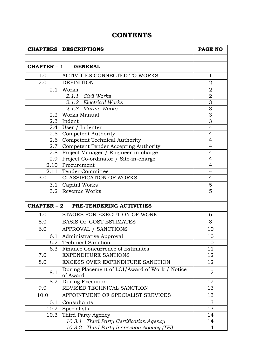## **CONTENTS**

| <b>CHAPTERS   DESCRIPTIONS</b>        |                                                            | PAGE NO        |
|---------------------------------------|------------------------------------------------------------|----------------|
|                                       |                                                            |                |
|                                       | CHAPTER - 1 GENERAL                                        |                |
| 1.0                                   | ACTIVITIES CONNECTED TO WORKS                              | $\mathbf{1}$   |
| 2.0                                   | <b>DEFINITION</b>                                          | $\overline{2}$ |
| 2.1                                   | Works                                                      | $\overline{2}$ |
|                                       | 2.1.1 Civil Works                                          | $\mathbf 2$    |
|                                       | 2.1.2 Electrical Works                                     | $\overline{3}$ |
|                                       | 2.1.3 Marine Works                                         | 3              |
|                                       | 2.2   Works Manual                                         | $\overline{3}$ |
| 2.3                                   | Indent                                                     | $\overline{3}$ |
| 2.4                                   | User / Indenter                                            | $\overline{4}$ |
| 2.5                                   | Competent Authority                                        | $\overline{4}$ |
| 2.6 <sub>1</sub>                      | <b>Competent Technical Authority</b>                       | $\overline{4}$ |
| 2.7                                   | Competent Tender Accepting Authority                       | $\overline{4}$ |
| 2.8                                   | Project Manager / Engineer-in-charge                       | $\overline{4}$ |
| 2.9                                   | Project Co-ordinator / Site-in-charge                      | $\overline{4}$ |
| 2.10                                  | Procurement                                                | $\overline{4}$ |
| 2.11                                  | Tender Committee                                           | $\overline{4}$ |
| <b>CLASSIFICATION OF WORKS</b><br>3.0 |                                                            | $\overline{4}$ |
| 3.1                                   | Capital Works                                              | 5              |
| Revenue Works<br>3.2                  |                                                            | 5              |
|                                       |                                                            |                |
|                                       | <b>CHAPTER - 2 PRE-TENDERING ACTIVITIES</b>                |                |
| 4.0                                   | STAGES FOR EXECUTION OF WORK                               | 6              |
| 5.0                                   | <b>BASIS OF COST ESTIMATES</b>                             | 8              |
| 6.0                                   | APPROVAL / SANCTIONS                                       | 10             |
|                                       | 6.1   Administrative Approval                              | 10             |
| 6.2                                   | <b>Technical Sanction</b>                                  | 10             |
| 6.3                                   | Finance Concurrence of Estimates                           | 11             |
| 7.0                                   | <b>EXPENDITURE SANTIONS</b>                                | 12             |
| 8.0                                   | EXCESS OVER EXPENDITURE SANCTION                           | 12             |
| 8.1                                   | During Placement of LOI/Award of Work / Notice<br>of Award | 12             |
| 8.2                                   | During Execution                                           | 12             |
| 9.0                                   | REVISED TECHNICAL SANCTION<br>13                           |                |
| 10.0                                  | APPOINTMENT OF SPECIALIST SERVICES                         |                |
| 10.1                                  | Consultants                                                |                |
| 10.2                                  | Specialists                                                | 13             |
| 10.3                                  | Third Party Agency                                         | 14             |
|                                       | Third Party Certification Agency<br>10.3.1                 | 14             |
|                                       | 10.3.2<br>Third Party Inspection Agency (TPI)              | 14             |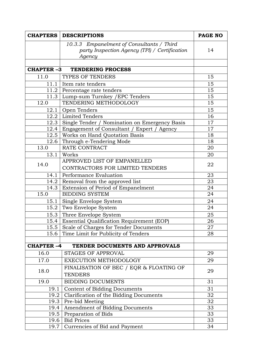| <b>CHAPTERS</b>  | <b>DESCRIPTIONS</b>                                                                                  | <b>PAGE NO</b> |  |
|------------------|------------------------------------------------------------------------------------------------------|----------------|--|
|                  | 10.3.3 Empanelment of Consultants / Third<br>party Inspection Agency (TPI) / Certification<br>Agency |                |  |
|                  |                                                                                                      |                |  |
| <b>CHAPTER-3</b> | <b>TENDERING PROCESS</b>                                                                             |                |  |
| 11.0             | TYPES OF TENDERS                                                                                     | 15             |  |
| 11.1             | Item rate tenders                                                                                    | 15             |  |
| 11.2             | Percentage rate tenders                                                                              | 15             |  |
| 11.3             | Lump-sum Turnkey / EPC Tenders                                                                       | 15             |  |
| 12.0             | TENDERING METHODOLOGY                                                                                | 15             |  |
| 12.1             | Open Tenders                                                                                         | 15             |  |
| 12.2             | Limited Tenders                                                                                      | 16             |  |
| 12.3             | Single Tender / Nomination on Emergency Basis                                                        | 17             |  |
| 12.4             | Engagement of Consultant / Expert / Agency                                                           | 17             |  |
| 12.5             | Works on Hand Quotation Basis                                                                        | 18             |  |
| 12.6             | Through e-Tendering Mode                                                                             | 18             |  |
| 13.0             | RATE CONTRACT                                                                                        | 20             |  |
| 13.1             | Works                                                                                                | 20             |  |
| 14.0             | APPROVED LIST OF EMPANELLED                                                                          | 22             |  |
|                  | CONTRACTORS FOR LIMITED TENDERS                                                                      |                |  |
| 14.1             | Performance Evaluation                                                                               | 23             |  |
| 14.2             | Removal from the approved list                                                                       |                |  |
| 14.3             | Extension of Period of Empanelment                                                                   | 24             |  |
| 15.0             | <b>BIDDING SYSTEM</b>                                                                                | 24             |  |
| 15.1             | Single Envelope System                                                                               | 24             |  |
| 15.2             | Two Envelope System                                                                                  | 24             |  |
| 15.3             | Three Envelope System                                                                                | 25             |  |
|                  | 15.4 Essential Qualification Requirement (EOP)                                                       | 26             |  |
| 15.5             | Scale of Charges for Tender Documents                                                                | 27             |  |
| 15.6             | Time Limit for Publicity of Tenders                                                                  | 28             |  |
|                  |                                                                                                      |                |  |
| <b>CHAPTER-4</b> | TENDER DOCUMENTS AND APPROVALS                                                                       |                |  |
| 16.0             | <b>STAGES OF APPROVAL</b>                                                                            | 29             |  |
| 17.0             | EXECUTION METHODOLOGY                                                                                | 29             |  |
|                  | FINALISATION OF BEC / EQR & FLOATING OF                                                              |                |  |
| 18.0             | <b>TENDERS</b>                                                                                       | 29             |  |
| 19.0             | <b>BIDDING DOCUMENTS</b>                                                                             | 31             |  |
| 19.1             | <b>Content of Bidding Documents</b>                                                                  | 31             |  |
| 19.2             | Clarification of the Bidding Documents                                                               | 32             |  |
| 19.3             | Pre-bid Meeting                                                                                      | 32             |  |
| 19.4             | Amendment of Bidding Documents                                                                       | 33             |  |
| 19.5             | Preparation of Bids                                                                                  | 33             |  |
| 19.6             | <b>Bid Prices</b>                                                                                    | 33             |  |
| 19.7             | Currencies of Bid and Payment                                                                        | 34             |  |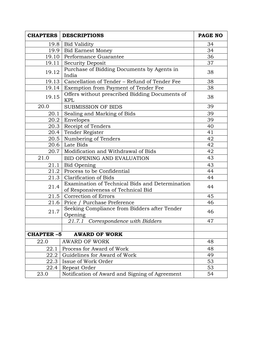| <b>CHAPTERS</b>  | <b>DESCRIPTIONS</b>                                                                   | <b>PAGE NO</b> |  |
|------------------|---------------------------------------------------------------------------------------|----------------|--|
|                  | 19.8   Bid Validity                                                                   |                |  |
|                  | 19.9   Bid Earnest Money                                                              |                |  |
|                  | 19.10 Performance Guarantee                                                           |                |  |
| 19.11            | <b>Security Deposit</b>                                                               | 37             |  |
| 19.12            | Purchase of Bidding Documents by Agents in<br>India                                   | 38             |  |
|                  | 19.13   Cancellation of Tender - Refund of Tender Fee                                 | 38             |  |
|                  | 19.14 Exemption from Payment of Tender Fee                                            | 38             |  |
| 19.15            | Offers without prescribed Bidding Documents of<br><b>KPL</b>                          | 38             |  |
| 20.0             | <b>SUBMISSION OF BIDS</b>                                                             | 39             |  |
| 20.1             | Sealing and Marking of Bids                                                           | 39             |  |
| 20.2             | Envelopes                                                                             | 39             |  |
|                  | 20.3   Receipt of Tenders                                                             | 40             |  |
|                  | 20.4 Tender Register                                                                  | 41             |  |
|                  | 20.5   Numbering of Tenders                                                           | 42             |  |
|                  | 20.6 Late Bids                                                                        | 42             |  |
| 20.7             | Modification and Withdrawal of Bids                                                   | 42             |  |
| 21.0             | <b>BID OPENING AND EVALUATION</b>                                                     | 43             |  |
| 21.1             | Bid Opening                                                                           | 43             |  |
|                  | 21.2 Process to be Confidential                                                       | 44             |  |
| 21.3             | Clarification of Bids                                                                 | 44             |  |
| 21.4             | Examination of Technical Bids and Determination<br>of Responsiveness of Technical Bid | 44             |  |
| 21.5             | Correction of Errors                                                                  | 45             |  |
| 21.6             | Price / Purchase Preference                                                           | 46             |  |
| 21.7             | Seeking Compliance from Bidders after Tender<br>Opening                               | 46             |  |
|                  | 21.7.1 Correspondence with Bidders                                                    | 47             |  |
|                  |                                                                                       |                |  |
| <b>CHAPTER-5</b> | <b>AWARD OF WORK</b>                                                                  |                |  |
| 22.0             | <b>AWARD OF WORK</b>                                                                  | 48             |  |
| 22.1             | Process for Award of Work                                                             | 48             |  |
| 22.2             | Guidelines for Award of Work                                                          |                |  |
| 22.3             | Issue of Work Order                                                                   | 53             |  |
| 22.4             | Repeat Order                                                                          | 53             |  |
| 23.0             | Notification of Award and Signing of Agreement                                        |                |  |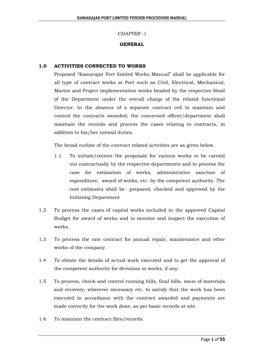#### *CHAPTER -1*

#### **GENERAL**

#### **1.0 ACTIVITIES CONNECTED TO WORKS**

Proposed "Kamarajar Port limited Works Manual" shall be applicable for all type of contract works at Port such as Civil, Electrical, Mechanical, Marine and Project implementation works headed by the respective Head of the Department under the overall charge of the related functional Director. In the absence of a separate contract cell to maintain and control the contracts awarded, the concerned officer/department shall maintain the records and process the cases relating to contracts, in addition to his/her normal duties.

The broad outline of the contract related activities are as given below.

- 1.1 To initiate/receive the proposals for various works to be carried out contractually by the respective departments and to process the case for estimation of works, administrative sanction of expenditure, award of works, etc. by the competent authority. The cost estimates shall be prepared, checked and approved by the Initiating Department
- 1.2 To process the cases of capital works included in the approved Capital Budget for award of works and to monitor and inspect the execution of works.
- 1.3 To process the rate contract for annual repair, maintenance and other works of the company.
- 1.4 To obtain the details of actual work executed and to get the approval of the competent authority for deviation in works, if any.
- 1.5 To process, check and control running bills, final bills, issue of materials and recovery, wherever necessary etc. to satisfy that the work has been executed in accordance with the contract awarded and payments are made correctly for the work done, as per basic records at site.
- 1.6 To maintain the contract files/records.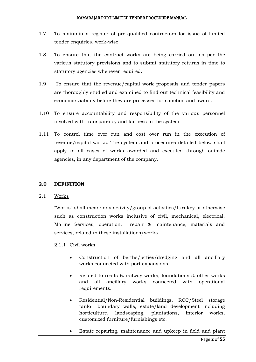- 1.7 To maintain a register of pre-qualified contractors for issue of limited tender enquiries, work-wise.
- 1.8 To ensure that the contract works are being carried out as per the various statutory provisions and to submit statutory returns in time to statutory agencies whenever required.
- 1.9 To ensure that the revenue/capital work proposals and tender papers are thoroughly studied and examined to find out technical feasibility and economic viability before they are processed for sanction and award.
- 1.10 To ensure accountability and responsibility of the various personnel involved with transparency and fairness in the system.
- 1.11 To control time over run and cost over run in the execution of revenue/capital works. The system and procedures detailed below shall apply to all cases of works awarded and executed through outside agencies, in any department of the company.

#### **2.0 DEFINITION**

#### 2.1 Works

"Works" shall mean: any activity/group of activities/turnkey or otherwise such as construction works inclusive of civil, mechanical, electrical, Marine Services, operation, repair & maintenance, materials and services, related to these installations/works

#### 2.1.1 Civil works

- Construction of berths/jetties/dredging and all ancillary works connected with port expansions.
- Related to roads & railway works, foundations & other works and all ancillary works connected with operational requirements.
- Residential/Non-Residential buildings, RCC/Steel storage tanks, boundary walls, estate/land development including horticulture, landscaping, plantations, interior works, customized furniture/furnishings etc.
- Estate repairing, maintenance and upkeep in field and plant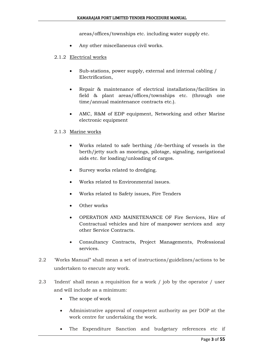areas/offices/townships etc. including water supply etc.

- Any other miscellaneous civil works.
- 2.1.2 Electrical works
	- Sub-stations, power supply, external and internal cabling / Electrification,
	- Repair & maintenance of electrical installations/facilities in field & plant areas/offices/townships etc. (through one time/annual maintenance contracts etc.).
	- AMC, R&M of EDP equipment, Networking and other Marine electronic equipment

#### 2.1.3 Marine works

- Works related to safe berthing /de-berthing of vessels in the berth/jetty such as moorings, pilotage, signaling, navigational aids etc. for loading/unloading of cargos.
- Survey works related to dredging.
- Works related to Environmental issues.
- Works related to Safety issues, Fire Tenders
- Other works
- OPERATION AND MAINETENANCE OF Fire Services, Hire of Contractual vehicles and hire of manpower services and any other Service Contracts.
- Consultancy Contracts, Project Managements, Professional services.
- 2.2 'Works Manual" shall mean a set of instructions/guidelines/actions to be undertaken to execute any work.
- 2.3 'Indent' shall mean a requisition for a work / job by the operator / user and will include as a minimum:
	- The scope of work
	- Administrative approval of competent authority as per DOP at the work centre for undertaking the work.
	- The Expenditure Sanction and budgetary references etc if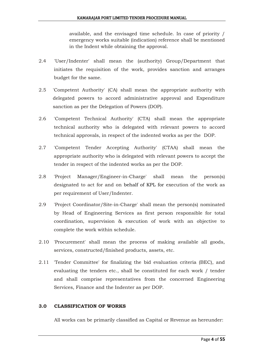available, and the envisaged time schedule. In case of priority / emergency works suitable (indication) reference shall be mentioned in the Indent while obtaining the approval.

- 2.4 'User/Indenter' shall mean the (authority) Group/Department that initiates the requisition of the work, provides sanction and arranges budget for the same.
- 2.5 'Competent Authority' (CA) shall mean the appropriate authority with delegated powers to accord administrative approval and Expenditure sanction as per the Delegation of Powers (DOP).
- 2.6 'Competent Technical Authority' (CTA) shall mean the appropriate technical authority who is delegated with relevant powers to accord technical approvals, in respect of the indented works as per the DOP.
- 2.7 'Competent Tender Accepting Authority' (CTAA) shall mean the appropriate authority who is delegated with relevant powers to accept the tender in respect of the indented works as per the DOP.
- 2.8 'Project Manager/Engineer-in-Charge' shall mean the person(s) designated to act for and on behalf of KPL for execution of the work as per requirement of User/Indenter.
- 2.9 'Project Coordinator/Site-in-Charge' shall mean the person(s) nominated by Head of Engineering Services as first person responsible for total coordination, supervision & execution of work with an objective to complete the work within schedule.
- 2.10 'Procurement' shall mean the process of making available all goods, services, constructed/finished products, assets, etc.
- 2.11 'Tender Committee' for finalizing the bid evaluation criteria (BEC), and evaluating the tenders etc., shall be constituted for each work / tender and shall comprise representatives from the concerned Engineering Services, Finance and the Indenter as per DOP.

#### **3.0 CLASSIFICATION OF WORKS**

All works can be primarily classified as Capital or Revenue as hereunder: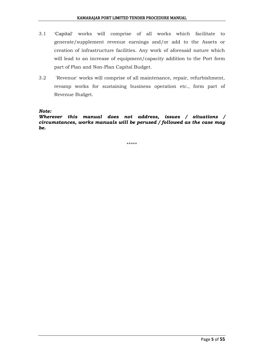- 3.1 'Capital' works will comprise of all works which facilitate to generate/supplement revenue earnings and/or add to the Assets or creation of infrastructure facilities. Any work of aforesaid nature which will lead to an increase of equipment/capacity addition to the Port form part of Plan and Non-Plan Capital Budget.
- 3.2 'Revenue' works will comprise of all maintenance, repair, refurbishment, revamp works for sustaining business operation etc., form part of Revenue Budget.

*Note:*

*Wherever this manual does not address, issues / situations / circumstances, works manuals will be perused / followed as the case may be.*

\*\*\*\*\*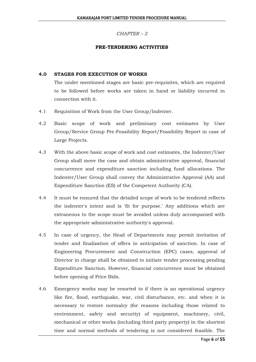#### *CHAPTER – 2*

#### **PRE-TENDERING ACTIVITIES**

#### **4.0 STAGES FOR EXECUTION OF WORKS**

The under mentioned stages are basic pre-requisites, which are required to be followed before works are taken in hand or liability incurred in connection with it.

- 4.1 Requisition of Work from the User Group/Indenter.
- 4.2 Basic scope of work and preliminary cost estimates by User Group/Service Group Pre-Feasibility Report/Feasibility Report in case of Large Projects.
- 4.3 With the above basic scope of work and cost estimates, the Indenter/User Group shall move the case and obtain administrative approval, financial concurrence and expenditure sanction including fund allocations. The Indenter/User Group shall convey the Administrative Approval (AA) and Expenditure Sanction (ES) of the Competent Authority (CA).
- 4.4 It must be ensured that the detailed scope of work to be tendered reflects the indenter's intent and is 'fit for purpose.' Any additions which are extraneous to the scope must be avoided unless duly accompanied with the appropriate administrative authority's approval.
- 4.5 In case of urgency, the Head of Departments may permit invitation of tender and finalization of offers in anticipation of sanction. In case of Engineering Procurement and Construction (EPC) cases, approval of Director in charge shall be obtained to initiate tender processing pending Expenditure Sanction. However, financial concurrence must be obtained before opening of Price Bids.
- 4.6 Emergency works may be resorted to if there is an operational urgency like fire, flood, earthquake, war, civil disturbance, etc. and when it is necessary to restore normalcy (for reasons including those related to environment, safety and security) of equipment, machinery, civil, mechanical or other works (including third party property) in the shortest time and normal methods of tendering is not considered feasible. The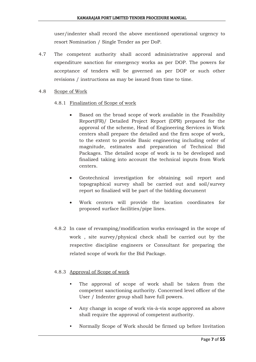user/indenter shall record the above mentioned operational urgency to resort Nomination / Single Tender as per DoP.

- 4.7 The competent authority shall accord administrative approval and expenditure sanction for emergency works as per DOP. The powers for acceptance of tenders will be governed as per DOP or such other revisions / instructions as may be issued from time to time.
- 4.8 Scope of Work

#### 4.8.1 Finalization of Scope of work

- Based on the broad scope of work available in the Feasibility Report(FR)/ Detailed Project Report (DPR) prepared for the approval of the scheme, Head of Engineering Services in Work centers shall prepare the detailed and the firm scope of work, to the extent to provide Basic engineering including order of magnitude, estimates and preparation of Technical Bid Packages. The detailed scope of work is to be developed and finalized taking into account the technical inputs from Work centers.
- Geotechnical investigation for obtaining soil report and topographical survey shall be carried out and soil/survey report so finalized will be part of the bidding document
- Work centers will provide the location coordinates for proposed surface facilities/pipe lines.
- 4.8.2 In case of revamping/modification works envisaged in the scope of work , site survey/physical check shall be carried out by the respective discipline engineers or Consultant for preparing the related scope of work for the Bid Package.

#### 4.8.3 Approval of Scope of work

- The approval of scope of work shall be taken from the competent sanctioning authority. Concerned level officer of the User / Indenter group shall have full powers.
- Any change in scope of work vis-à-vis scope approved as above shall require the approval of competent authority.
- Normally Scope of Work should be firmed up before Invitation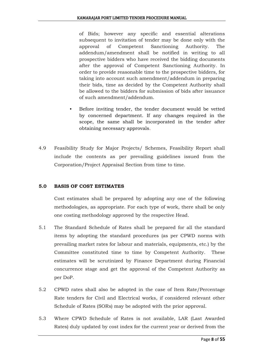of Bids; however any specific and essential alterations subsequent to invitation of tender may be done only with the approval of Competent Sanctioning Authority. The addendum/amendment shall be notified in writing to all prospective bidders who have received the bidding documents after the approval of Competent Sanctioning Authority. In order to provide reasonable time to the prospective bidders, for taking into account such amendment/addendum in preparing their bids, time as decided by the Competent Authority shall be allowed to the bidders for submission of bids after issuance of such amendment/addendum.

- Before inviting tender, the tender document would be vetted by concerned department. If any changes required in the scope, the same shall be incorporated in the tender after obtaining necessary approvals.
- 4.9 Feasibility Study for Major Projects/ Schemes, Feasibility Report shall include the contents as per prevailing guidelines issued from the Corporation/Project Appraisal Section from time to time.

#### **5.0 BASIS OF COST ESTIMATES**

Cost estimates shall be prepared by adopting any one of the following methodologies, as appropriate. For each type of work, there shall be only one costing methodology approved by the respective Head.

- 5.1 The Standard Schedule of Rates shall be prepared for all the standard items by adopting the standard procedures (as per CPWD norms with prevailing market rates for labour and materials, equipments, etc.) by the Committee constituted time to time by Competent Authority. These estimates will be scrutinized by Finance Department during Financial concurrence stage and get the approval of the Competent Authority as per DoP.
- 5.2 CPWD rates shall also be adopted in the case of Item Rate/Percentage Rate tenders for Civil and Electrical works, if considered relevant other Schedule of Rates (SORs) may be adopted with the prior approval.
- 5.3 Where CPWD Schedule of Rates is not available, LAR (Last Awarded Rates) duly updated by cost index for the current year or derived from the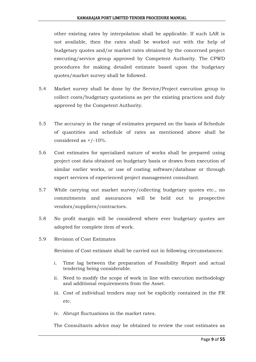other existing rates by interpolation shall be applicable. If such LAR is not available, then the rates shall be worked out with the help of budgetary quotes and/or market rates obtained by the concerned project executing/service group approved by Competent Authority. The CPWD procedures for making detailed estimate based upon the budgetary quotes/market survey shall be followed.

- 5.4 Market survey shall be done by the Service/Project execution group to collect costs/budgetary quotations as per the existing practices and duly approved by the Competent Authority.
- 5.5 The accuracy in the range of estimates prepared on the basis of Schedule of quantities and schedule of rates as mentioned above shall be considered as  $+/-10%$ .
- 5.6 Cost estimates for specialized nature of works shall be prepared using project cost data obtained on budgetary basis or drawn from execution of similar earlier works, or use of costing software/database or through expert services of experienced project management consultant.
- 5.7 While carrying out market survey/collecting budgetary quotes etc., no commitments and assurances will be held out to prospective vendors/suppliers/contractors.
- 5.8 No profit margin will be considered where ever budgetary quotes are adopted for complete item of work.
- 5.9 Revision of Cost Estimates

Revision of Cost estimate shall be carried out in following circumstances:

- i. Time lag between the preparation of Feasibility Report and actual tendering being considerable.
- ii. Need to modify the scope of work in line with execution methodology and additional requirements from the Asset.
- iii. Cost of individual tenders may not be explicitly contained in the FR etc.
- iv. Abrupt fluctuations in the market rates.

The Consultants advice may be obtained to review the cost estimates as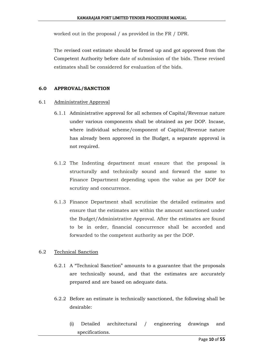worked out in the proposal / as provided in the FR / DPR.

The revised cost estimate should be firmed up and got approved from the Competent Authority before date of submission of the bids. These revised estimates shall be considered for evaluation of the bids.

#### **6.0 APPROVAL/SANCTION**

#### 6.1 Administrative Approval

- 6.1.1 Administrative approval for all schemes of Capital/Revenue nature under various components shall be obtained as per DOP. Incase, where individual scheme/component of Capital/Revenue nature has already been approved in the Budget, a separate approval is not required.
- 6.1.2 The Indenting department must ensure that the proposal is structurally and technically sound and forward the same to Finance Department depending upon the value as per DOP for scrutiny and concurrence.
- 6.1.3 Finance Department shall scrutinize the detailed estimates and ensure that the estimates are within the amount sanctioned under the Budget/Administrative Approval. After the estimates are found to be in order, financial concurrence shall be accorded and forwarded to the competent authority as per the DOP.

#### 6.2 Technical Sanction

- 6.2.1 A "Technical Sanction" amounts to a guarantee that the proposals are technically sound, and that the estimates are accurately prepared and are based on adequate data.
- 6.2.2 Before an estimate is technically sanctioned, the following shall be desirable:
	- (i) Detailed architectural / engineering drawings and specifications.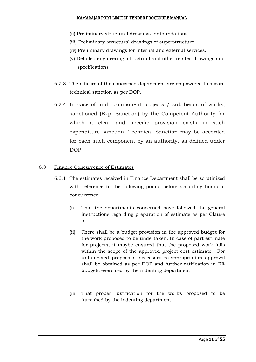- (ii) Preliminary structural drawings for foundations
- (iii) Preliminary structural drawings of superstructure
- (iv) Preliminary drawings for internal and external services.
- (v) Detailed engineering, structural and other related drawings and specifications
- 6.2.3 The officers of the concerned department are empowered to accord technical sanction as per DOP.
- 6.2.4 In case of multi-component projects / sub-heads of works, sanctioned (Exp. Sanction) by the Competent Authority for which a clear and specific provision exists in such expenditure sanction, Technical Sanction may be accorded for each such component by an authority, as defined under DOP.

#### 6.3 Finance Concurrence of Estimates

- 6.3.1 The estimates received in Finance Department shall be scrutinized with reference to the following points before according financial concurrence:
	- (i) That the departments concerned have followed the general instructions regarding preparation of estimate as per Clause 5.
	- (ii) There shall be a budget provision in the approved budget for the work proposed to be undertaken. In case of part estimate for projects, it maybe ensured that the proposed work falls within the scope of the approved project cost estimate. For unbudgeted proposals, necessary re-appropriation approval shall be obtained as per DOP and further ratification in RE budgets exercised by the indenting department.
	- (iii) That proper justification for the works proposed to be furnished by the indenting department.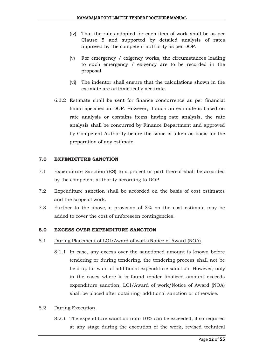- (iv) That the rates adopted for each item of work shall be as per Clause 5 and supported by detailed analysis of rates approved by the competent authority as per DOP..
- (v) For emergency / exigency works, the circumstances leading to such emergency / exigency are to be recorded in the proposal.
- (vi) The indentor shall ensure that the calculations shown in the estimate are arithmetically accurate.
- 6.3.2 Estimate shall be sent for finance concurrence as per financial limits specified in DOP. However, if such an estimate is based on rate analysis or contains items having rate analysis, the rate analysis shall be concurred by Finance Department and approved by Competent Authority before the same is taken as basis for the preparation of any estimate.

#### **7.0 EXPENDITURE SANCTION**

- 7.1 Expenditure Sanction (ES) to a project or part thereof shall be accorded by the competent authority according to DOP.
- 7.2 Expenditure sanction shall be accorded on the basis of cost estimates and the scope of work.
- 7.3 Further to the above, a provision of 3% on the cost estimate may be added to cover the cost of unforeseen contingencies.

#### **8.0 EXCESS OVER EXPENDITURE SANCTION**

- 8.1 During Placement of LOI/Award of work/Notice of Award (NOA)
	- 8.1.1 In case, any excess over the sanctioned amount is known before tendering or during tendering, the tendering process shall not be held up for want of additional expenditure sanction. However, only in the cases where it is found tender finalized amount exceeds expenditure sanction, LOI/Award of work/Notice of Award (NOA) shall be placed after obtaining additional sanction or otherwise.

#### 8.2 During Execution

8.2.1 The expenditure sanction upto 10% can be exceeded, if so required at any stage during the execution of the work, revised technical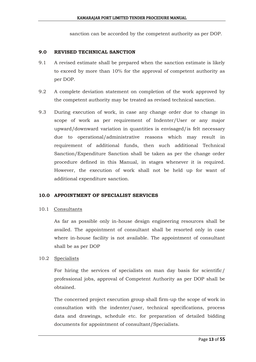sanction can be accorded by the competent authority as per DOP.

#### **9.0 REVISED TECHNICAL SANCTION**

- 9.1 A revised estimate shall be prepared when the sanction estimate is likely to exceed by more than 10% for the approval of competent authority as per DOP.
- 9.2 A complete deviation statement on completion of the work approved by the competent authority may be treated as revised technical sanction.
- 9.3 During execution of work, in case any change order due to change in scope of work as per requirement of Indenter/User or any major upward/downward variation in quantities is envisaged/is felt necessary due to operational/administrative reasons which may result in requirement of additional funds, then such additional Technical Sanction/Expenditure Sanction shall be taken as per the change order procedure defined in this Manual, in stages whenever it is required. However, the execution of work shall not be held up for want of additional expenditure sanction.

#### **10.0 APPOINTMENT OF SPECIALIST SERVICES**

#### 10.1 Consultants

As far as possible only in-house design engineering resources shall be availed. The appointment of consultant shall be resorted only in case where in-house facility is not available. The appointment of consultant shall be as per DOP

#### 10.2 Specialists

For hiring the services of specialists on man day basis for scientific/ professional jobs, approval of Competent Authority as per DOP shall be obtained.

The concerned project execution group shall firm-up the scope of work in consultation with the indenter/user, technical specifications, process data and drawings, schedule etc. for preparation of detailed bidding documents for appointment of consultant/Specialists.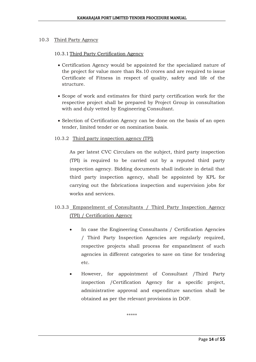#### 10.3 Third Party Agency

#### 10.3.1Third Party Certification Agency

- Certification Agency would be appointed for the specialized nature of the project for value more than Rs.10 crores and are required to issue Certificate of Fitness in respect of quality, safety and life of the structure.
- Scope of work and estimates for third party certification work for the respective project shall be prepared by Project Group in consultation with and duly vetted by Engineering Consultant.
- Selection of Certification Agency can be done on the basis of an open tender, limited tender or on nomination basis.

#### 10.3.2 Third party inspection agency (TPI)

As per latest CVC Circulars on the subject, third party inspection (TPI) is required to be carried out by a reputed third party inspection agency. Bidding documents shall indicate in detail that third party inspection agency, shall be appointed by KPL for carrying out the fabrications inspection and supervision jobs for works and services.

## 10.3.3 Empanelment of Consultants / Third Party Inspection Agency (TPI) / Certification Agency

- In case the Engineering Consultants / Certification Agencies / Third Party Inspection Agencies are regularly required, respective projects shall process for empanelment of such agencies in different categories to save on time for tendering etc.
- However, for appointment of Consultant /Third Party inspection /Certification Agency for a specific project, administrative approval and expenditure sanction shall be obtained as per the relevant provisions in DOP.

\*\*\*\*\*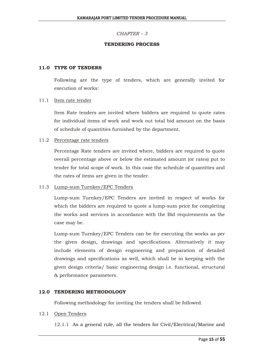#### *CHAPTER – 3*

#### **TENDERING PROCESS**

#### **11.0 TYPE OF TENDERS**

Following are the type of tenders, which are generally invited for execution of works:

#### 11.1 Item rate tender

Item Rate tenders are invited where bidders are required to quote rates for individual items of work and work out total bid amount on the basis of schedule of quantities furnished by the department.

#### 11.2 Percentage rate tenders

Percentage Rate tenders are invited where, bidders are required to quote overall percentage above or below the estimated amount (or rates) put to tender for total scope of work. In this case the schedule of quantities and the rates of items are given in the tender.

#### 11.3 Lump-sum Turnkey/EPC Tenders

Lump-sum Turnkey/EPC Tenders are invited in respect of works for which the bidders are required to quote a lump-sum price for completing the works and services in accordance with the Bid requirements as the case may be.

Lump-sum Turnkey/EPC Tenders can be for executing the works as per the given design, drawings and specifications. Alternatively it may include elements of design engineering and preparation of detailed drawings and specifications as well, which shall be in keeping with the given design criteria/ basic engineering design i.e. functional, structural & performance parameters.

#### **12.0 TENDERING METHODOLOGY**

Following methodology for inviting the tenders shall be followed.

#### 12.1 Open Tenders

12.1.1 As a general rule, all the tenders for Civil/Electrical/Marine and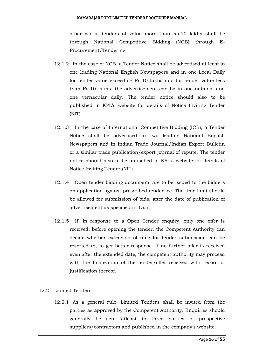other works tenders of value more than Rs.10 lakhs shall be through National Competitive Bidding (NCB) through E-Procurement/Tendering.

- 12.1.2 In the case of NCB, a Tender Notice shall be advertised at least in one leading National English Newspapers and in one Local Daily for tender value exceeding Rs.10 lakhs and for tender value less than Rs.10 lakhs, the advertisement can be in one national and one vernacular daily. The tender notice should also to be published in KPL's website for details of Notice Inviting Tender (NIT).
- 12.1.3 In the case of International Competitive Bidding (ICB), a Tender Notice shall be advertised in two leading National English Newspapers and in Indian Trade Journal/Indian Export Bulletin or a similar trade publication/export journal of repute. The tender notice should also to be published in KPL's website for details of Notice Inviting Tender (NIT).
- 12.1.4 Open tender bidding documents are to be issued to the bidders on application against prescribed tender fee. The time limit should be allowed for submission of bids, after the date of publication of advertisement as specified in 15.5.
- 12.1.5 If, in response to a Open Tender enquiry, only one offer is received, before opening the tender, the Competent Authority can decide whether extension of time for tender submission can be resorted to, to get better response. If no further offer is received even after the extended date, the competent authority may proceed with the finalization of the tender/offer received with record of justification thereof.

#### 12.2 Limited Tenders

12.2.1 As a general rule, Limited Tenders shall be invited from the parties as approved by the Competent Authority. Enquiries should generally be sent atleast to three parties of prospective suppliers/contractors and published in the company's website.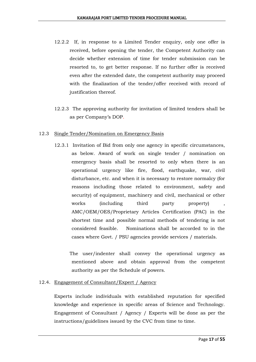- 12.2.2 If, in response to a Limited Tender enquiry, only one offer is received, before opening the tender, the Competent Authority can decide whether extension of time for tender submission can be resorted to, to get better response. If no further offer is received even after the extended date, the competent authority may proceed with the finalization of the tender/offer received with record of justification thereof.
- 12.2.3 The approving authority for invitation of limited tenders shall be as per Company's DOP.

#### 12.3 Single Tender/Nomination on Emergency Basis

12.3.1 Invitation of Bid from only one agency in specific circumstances, as below. Award of work on single tender / nomination on emergency basis shall be resorted to only when there is an operational urgency like fire, flood, earthquake, war, civil disturbance, etc. and when it is necessary to restore normalcy (for reasons including those related to environment, safety and security) of equipment, machinery and civil, mechanical or other works (including third party property) AMC/OEM/OES/Proprietary Articles Certification (PAC) in the shortest time and possible normal methods of tendering is not considered feasible. Nominations shall be accorded to in the cases where Govt. / PSU agencies provide services / materials.

The user/indenter shall convey the operational urgency as mentioned above and obtain approval from the competent authority as per the Schedule of powers.

#### 12.4. Engagement of Consultant/Expert / Agency

Experts include individuals with established reputation for specified knowledge and experience in specific areas of Science and Technology. Engagement of Consultant / Agency / Experts will be done as per the instructions/guidelines issued by the CVC from time to time.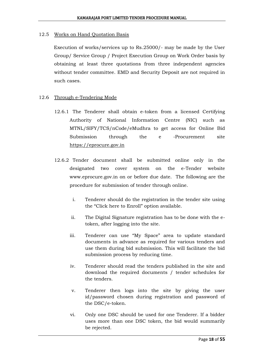#### 12.5 Works on Hand Quotation Basis

Execution of works/services up to Rs.25000/- may be made by the User Group/ Service Group / Project Execution Group on Work Order basis by obtaining at least three quotations from three independent agencies without tender committee. EMD and Security Deposit are not required in such cases.

#### 12.6 Through e-Tendering Mode

- 12.6.1 The Tenderer shall obtain e-token from a licensed Certifying Authority of National Information Centre (NIC) such as MTNL/SIFY/TCS/nCode/eMudhra to get access for Online Bid Submission through the e -Procurement site [https://eprocure.gov.in](https://eprocure.gov.in/)
- 12.6.2 Tender document shall be submitted online only in the designated two cover system on the e-Tender website www.eprocure.gov.in on or before due date. The following are the procedure for submission of tender through online.
	- i. Tenderer should do the registration in the tender site using the "Click here to Enroll" option available.
	- ii. The Digital Signature registration has to be done with the etoken, after logging into the site.
	- iii. Tenderer can use "My Space" area to update standard documents in advance as required for various tenders and use them during bid submission. This will facilitate the bid submission process by reducing time.
	- iv. Tenderer should read the tenders published in the site and download the required documents / tender schedules for the tenders.
	- v. Tenderer then logs into the site by giving the user id/password chosen during registration and password of the DSC/e-token.
	- vi. Only one DSC should be used for one Tenderer. If a bidder uses more than one DSC token, the bid would summarily be rejected.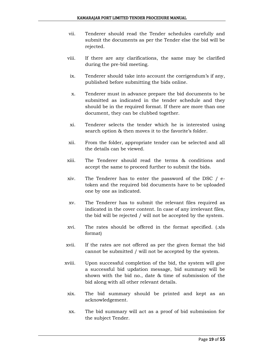- vii. Tenderer should read the Tender schedules carefully and submit the documents as per the Tender else the bid will be rejected.
- viii. If there are any clarifications, the same may be clarified during the pre-bid meeting.
- ix. Tenderer should take into account the corrigendum's if any, published before submitting the bids online.
- x. Tenderer must in advance prepare the bid documents to be submitted as indicated in the tender schedule and they should be in the required format. If there are more than one document, they can be clubbed together.
- xi. Tenderer selects the tender which he is interested using search option & then moves it to the favorite's folder.
- xii. From the folder, appropriate tender can be selected and all the details can be viewed.
- xiii. The Tenderer should read the terms & conditions and accept the same to proceed further to submit the bids.
- xiv. The Tenderer has to enter the password of the DSC / etoken and the required bid documents have to be uploaded one by one as indicated.
- xv. The Tenderer has to submit the relevant files required as indicated in the cover content. In case of any irrelevant files, the bid will be rejected / will not be accepted by the system.
- xvi. The rates should be offered in the format specified. (.xls format)
- xvii. If the rates are not offered as per the given format the bid cannot be submitted / will not be accepted by the system.
- xviii. Upon successful completion of the bid, the system will give a successful bid updation message, bid summary will be shown with the bid no., date & time of submission of the bid along with all other relevant details.
- xix. The bid summary should be printed and kept as an acknowledgement.
- xx. The bid summary will act as a proof of bid submission for the subject Tender.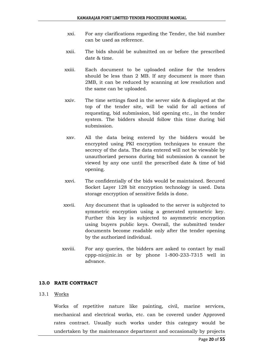- xxi. For any clarifications regarding the Tender, the bid number can be used as reference.
- xxii. The bids should be submitted on or before the prescribed date & time.
- xxiii. Each document to be uploaded online for the tenders should be less than 2 MB. If any document is more than 2MB, it can be reduced by scanning at low resolution and the same can be uploaded.
- xxiv. The time settings fixed in the server side & displayed at the top of the tender site, will be valid for all actions of requesting, bid submission, bid opening etc., in the tender system. The bidders should follow this time during bid submission.
- xxv. All the data being entered by the bidders would be encrypted using PKI encryption techniques to ensure the secrecy of the data. The data entered will not be viewable by unauthorized persons during bid submission & cannot be viewed by any one until the prescribed date & time of bid opening.
- xxvi. The confidentially of the bids would be maintained. Secured Socket Layer 128 bit encryption technology is used. Data storage encryption of sensitive fields is done.
- xxvii. Any document that is uploaded to the server is subjected to symmetric encryption using a generated symmetric key. Further this key is subjected to asymmetric encryption using buyers public keys. Overall, the submitted tender documents become readable only after the tender opening by the authorized individual.
- xxviii. For any queries, the bidders are asked to contact by mail cppp-nic@nic.in or by phone 1-800-233-7315 well in advance.

#### **13.0 RATE CONTRACT**

#### 13.1 Works

Works of repetitive nature like painting, civil, marine services, mechanical and electrical works, etc. can be covered under Approved rates contract. Usually such works under this category would be undertaken by the maintenance department and occasionally by projects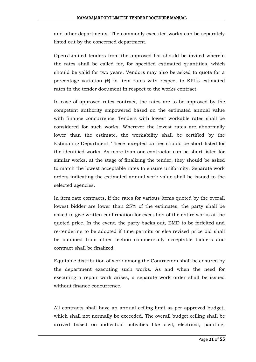and other departments. The commonly executed works can be separately listed out by the concerned department.

Open/Limited tenders from the approved list should be invited wherein the rates shall be called for, for specified estimated quantities, which should be valid for two years. Vendors may also be asked to quote for a percentage variation  $(\pm)$  in item rates with respect to KPL's estimated rates in the tender document in respect to the works contract.

In case of approved rates contract, the rates are to be approved by the competent authority empowered based on the estimated annual value with finance concurrence. Tenders with lowest workable rates shall be considered for such works. Wherever the lowest rates are abnormally lower than the estimate, the workability shall be certified by the Estimating Department. These accepted parties should be short-listed for the identified works. As more than one contractor can be short listed for similar works, at the stage of finalizing the tender, they should be asked to match the lowest acceptable rates to ensure uniformity. Separate work orders indicating the estimated annual work value shall be issued to the selected agencies.

In item rate contracts, if the rates for various items quoted by the overall lowest bidder are lower than 25% of the estimates, the party shall be asked to give written confirmation for execution of the entire works at the quoted price. In the event, the party backs out, EMD to be forfeited and re-tendering to be adopted if time permits or else revised price bid shall be obtained from other techno commercially acceptable bidders and contract shall be finalized.

Equitable distribution of work among the Contractors shall be ensured by the department executing such works. As and when the need for executing a repair work arises, a separate work order shall be issued without finance concurrence.

All contracts shall have an annual ceiling limit as per approved budget, which shall not normally be exceeded. The overall budget ceiling shall be arrived based on individual activities like civil, electrical, painting,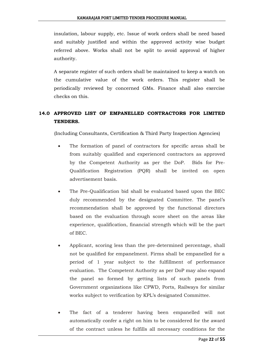insulation, labour supply, etc. Issue of work orders shall be need based and suitably justified and within the approved activity wise budget referred above. Works shall not be split to avoid approval of higher authority.

A separate register of such orders shall be maintained to keep a watch on the cumulative value of the work orders. This register shall be periodically reviewed by concerned GMs. Finance shall also exercise checks on this.

## **14.0 APPROVED LIST OF EMPANELLED CONTRACTORS FOR LIMITED TENDERS.**

(Including Consultants, Certification & Third Party Inspection Agencies)

- The formation of panel of contractors for specific areas shall be from suitably qualified and experienced contractors as approved by the Competent Authority as per the DoP. Bids for Pre-Qualification Registration (PQR) shall be invited on open advertisement basis.
- The Pre-Qualification bid shall be evaluated based upon the BEC duly recommended by the designated Committee. The panel's recommendation shall be approved by the functional directors based on the evaluation through score sheet on the areas like experience, qualification, financial strength which will be the part of BEC.
- Applicant, scoring less than the pre-determined percentage, shall not be qualified for empanelment. Firms shall be empanelled for a period of 1 year subject to the fulfillment of performance evaluation. The Competent Authority as per DoP may also expand the panel so formed by getting lists of such panels from Government organizations like CPWD, Ports, Railways for similar works subject to verification by KPL's designated Committee.
- The fact of a tenderer having been empanelled will not automatically confer a right on him to be considered for the award of the contract unless he fulfills all necessary conditions for the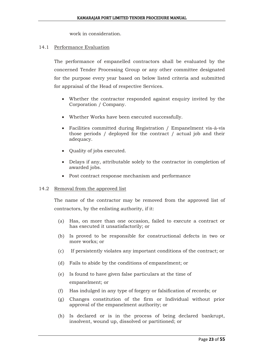work in consideration.

#### 14.1 Performance Evaluation

The performance of empanelled contractors shall be evaluated by the concerned Tender Processing Group or any other committee designated for the purpose every year based on below listed criteria and submitted for appraisal of the Head of respective Services.

- Whether the contractor responded against enquiry invited by the Corporation / Company.
- Whether Works have been executed successfully.
- Facilities committed during Registration / Empanelment vis-à-vis those periods / deployed for the contract / actual job and their adequacy.
- Quality of jobs executed.
- Delays if any, attributable solely to the contractor in completion of awarded jobs.
- Post contract response mechanism and performance

#### 14.2 Removal from the approved list

The name of the contractor may be removed from the approved list of contractors, by the enlisting authority, if it:

- (a) Has, on more than one occasion, failed to execute a contract or has executed it unsatisfactorily; or
- (b) Is proved to be responsible for constructional defects in two or more works; or
- (c) If persistently violates any important conditions of the contract; or
- (d) Fails to abide by the conditions of empanelment; or
- (e) Is found to have given false particulars at the time of empanelment; or
- (f) Has indulged in any type of forgery or falsification of records; or
- (g) Changes constitution of the firm or Individual without prior approval of the empanelment authority; or
- (h) Is declared or is in the process of being declared bankrupt, insolvent, wound up, dissolved or partitioned; or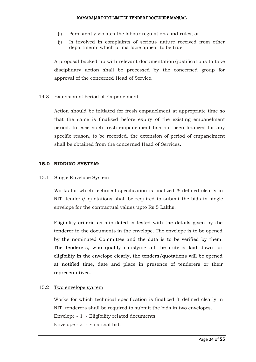- (i) Persistently violates the labour regulations and rules; or
- (j) Is involved in complaints of serious nature received from other departments which prima facie appear to be true.

A proposal backed up with relevant documentation/justifications to take disciplinary action shall be processed by the concerned group for approval of the concerned Head of Service.

#### 14.3 Extension of Period of Empanelment

Action should be initiated for fresh empanelment at appropriate time so that the same is finalized before expiry of the existing empanelment period. In case such fresh empanelment has not been finalized for any specific reason, to be recorded, the extension of period of empanelment shall be obtained from the concerned Head of Services.

#### **15.0 BIDDING SYSTEM:**

#### 15.1 Single Envelope System

Works for which technical specification is finalized & defined clearly in NIT, tenders/ quotations shall be required to submit the bids in single envelope for the contractual values upto Rs.5 Lakhs.

Eligibility criteria as stipulated is tested with the details given by the tenderer in the documents in the envelope. The envelope is to be opened by the nominated Committee and the data is to be verified by them. The tenderers, who qualify satisfying all the criteria laid down for eligibility in the envelope clearly, the tenders/quotations will be opened at notified time, date and place in presence of tenderers or their representatives.

#### 15.2 Two envelope system

Works for which technical specification is finalized & defined clearly in NIT, tenderers shall be required to submit the bids in two envelopes. Envelope - 1 :- Eligibility related documents. Envelope - 2 :- Financial bid.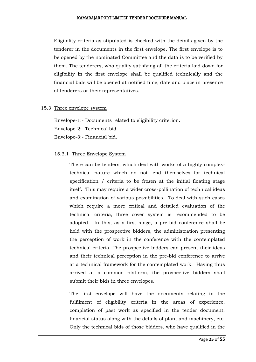Eligibility criteria as stipulated is checked with the details given by the tenderer in the documents in the first envelope. The first envelope is to be opened by the nominated Committee and the data is to be verified by them. The tenderers, who qualify satisfying all the criteria laid down for eligibility in the first envelope shall be qualified technically and the financial bids will be opened at notified time, date and place in presence of tenderers or their representatives.

#### 15.3 Three envelope system

Envelope-1:- Documents related to eligibility criterion. Envelope-2:- Technical bid. Envelope-3:- Financial bid.

#### 15.3.1 Three Envelope System

There can be tenders, which deal with works of a highly complextechnical nature which do not lend themselves for technical specification / criteria to be frozen at the initial floating stage itself. This may require a wider cross-pollination of technical ideas and examination of various possibilities. To deal with such cases which require a more critical and detailed evaluation of the technical criteria, three cover system is recommended to be adopted. In this, as a first stage, a pre-bid conference shall be held with the prospective bidders, the administration presenting the perception of work in the conference with the contemplated technical criteria. The prospective bidders can present their ideas and their technical perception in the pre-bid conference to arrive at a technical framework for the contemplated work. Having thus arrived at a common platform, the prospective bidders shall submit their bids in three envelopes.

The first envelope will have the documents relating to the fulfilment of eligibility criteria in the areas of experience, completion of past work as specified in the tender document, financial status along with the details of plant and machinery, etc. Only the technical bids of those bidders, who have qualified in the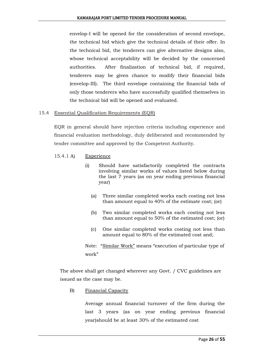envelop-I will be opened for the consideration of second envelope, the technical bid which give the technical details of their offer. In the technical bid, the tenderers can give alternative designs also, whose technical acceptability will be decided by the concerned authorities. After finalization of technical bid, if required, tenderers may be given chance to modify their financial bids (envelop-III). The third envelope containing the financial bids of only those tenderers who have successfully qualified themselves in the technical bid will be opened and evaluated.

#### 15.4 Essential Qualification Requirements (EQR)

EQR in general should have rejection criteria including experience and financial evaluation methodology, duly deliberated and recommended by tender committee and approved by the Competent Authority.

- 15.4.1 A) Experience
	- (i) Should have satisfactorily completed the contracts involving similar works of values listed below during the last 7 years (as on year ending previous financial year)
		- (a) Three similar completed works each costing not less than amount equal to 40% of the estimate cost; (or)
		- (b) Two similar completed works each costing not less than amount equal to 50% of the estimated cost; (or)
		- (c) One similar completed works costing not less than amount equal to 80% of the estimated cost and;

Note: "Similar Work" means "execution of particular type of work"

The above shall get changed wherever any Govt. / CVC guidelines are issued as the case may be.

B) Financial Capacity

Average annual financial turnover of the firm during the last 3 years (as on year ending previous financial year)should be at least 30% of the estimated cost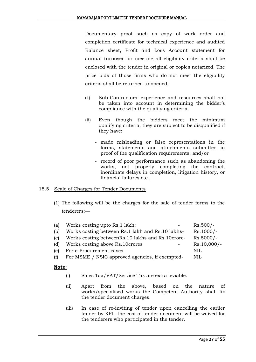Documentary proof such as copy of work order and completion certificate for technical experience and audited Balance sheet, Profit and Loss Account statement for annual turnover for meeting all eligibility criteria shall be enclosed with the tender in original or copies notarized. The price bids of those firms who do not meet the eligibility criteria shall be returned unopened.

- (i) Sub-Contractors' experience and resources shall not be taken into account in determining the bidder's compliance with the qualifying criteria.
- (ii) Even though the bidders meet the minimum qualifying criteria, they are subject to be disqualified if they have:
	- made misleading or false representations in the forms, statements and attachments submitted in proof of the qualification requirements; and/or
	- record of poor performance such as abandoning the works, not properly completing the contract, inordinate delays in completion, litigation history, or financial failures etc.,

#### 15.5 Scale of Charges for Tender Documents

(1) The following will be the charges for the sale of tender forms to the tenderers:—

| (a) | Works costing upto Rs.1 lakh:                        | $Rs.500/-$    |
|-----|------------------------------------------------------|---------------|
| (b) | Works costing between Rs.1 lakh and Rs.10 lakhs-     | $Rs.1000/-$   |
| (c) | Works costing between Rs. 10 lakhs and Rs. 10 crore- | $Rs.5000/-$   |
| (d) | Works costing above Rs.10 crores                     | $Rs.10,000/-$ |
| (e) | For e-Procurement cases                              | NIL           |
| (f) | For MSME / NSIC approved agencies, if exempted-      | <b>NIL</b>    |

#### **Note:**

- (i) Sales Tax/VAT/Service Tax are extra leviable.
- (ii) Apart from the above, based on the nature of works/specialised works the Competent Authority shall fix the tender document charges.
- (iii) In case of re-inviting of tender upon cancelling the earlier tender by KPL, the cost of tender document will be waived for the tenderers who participated in the tender.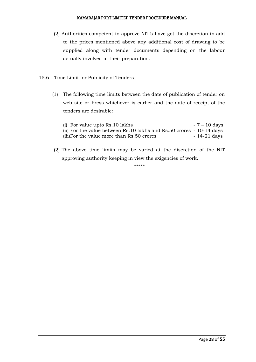(2) Authorities competent to approve NIT's have got the discretion to add to the prices mentioned above any additional cost of drawing to be supplied along with tender documents depending on the labour actually involved in their preparation.

#### 15.6 Time Limit for Publicity of Tenders

(1) The following time limits between the date of publication of tender on web site or Press whichever is earlier and the date of receipt of the tenders are desirable:

| (i) For value upto $Rs.10$ lakhs                                     | $-7 - 10$ days |
|----------------------------------------------------------------------|----------------|
| (ii) For the value between Rs.10 lakhs and Rs.50 crores - 10-14 days |                |
| (iii) For the value more than Rs. 50 crores                          | - 14-21 days   |

(2) The above time limits may be varied at the discretion of the NIT approving authority keeping in view the exigencies of work.

\*\*\*\*\*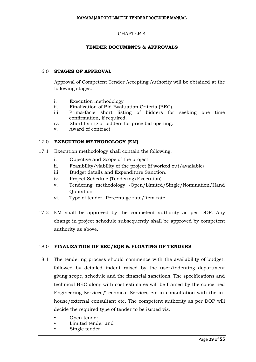#### CHAPTER-4

#### **TENDER DOCUMENTS & APPROVALS**

#### 16.0 **STAGES OF APPROVAL**

Approval of Competent Tender Accepting Authority will be obtained at the following stages:

- i. Execution methodology
- ii. Finalization of Bid Evaluation Criteria (BEC).
- iii. Prima-facie short listing of bidders for seeking one time confirmation, if required.
- iv. Short listing of bidders for price bid opening.
- v. Award of contract

#### 17.0 **EXECUTION METHODOLOGY (EM)**

- 17.1 Execution methodology shall contain the following:
	- i. Objective and Scope of the project
	- ii. Feasibility/viability of the project (if worked out/available)
	- iii. Budget details and Expenditure Sanction.
	- iv. Project Schedule (Tendering/Execution)
	- v. Tendering methodology -Open/Limited/Single/Nomination/Hand **Ouotation**
	- vi. Type of tender -Percentage rate/Item rate
- 17.2 EM shall be approved by the competent authority as per DOP. Any change in project schedule subsequently shall be approved by competent authority as above.

#### 18.0 **FINALIZATION OF BEC/EQR & FLOATING OF TENDERS**

- 18.1 The tendering process should commence with the availability of budget, followed by detailed indent raised by the user/indenting department giving scope, schedule and the financial sanctions. The specifications and technical BEC along with cost estimates will be framed by the concerned Engineering Services/Technical Services etc in consultation with the inhouse/external consultant etc. The competent authority as per DOP will decide the required type of tender to be issued viz.
	- Open tender
	- Limited tender and
	- Single tender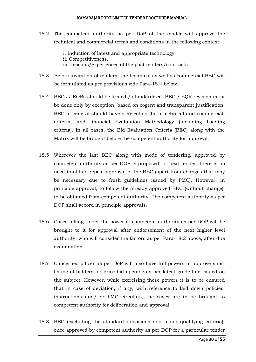- 18.2 The competent authority as per DoP of the tender will approve the technical and commercial terms and conditions in the following context:
	- i. Induction of latest and appropriate technology
	- ii. Competitiveness,
	- iii. Lessons/experiences of the past tenders/contracts.
- 18.3 Before invitation of tenders, the technical as well as commercial BEC will be formulated as per provisions vide Para-18.4 below.
- 18.4 BECs / EQRs should be firmed / standardized. BEC / EQR revision must be done only by exception, based on cogent and transparent justification. BEC in general should have a Rejection (both technical and commercial) criteria, and financial Evaluation Methodology (including Loading criteria). In all cases, the Bid Evaluation Criteria (BEC) along with the Matrix will be brought before the competent authority for approval.
- 18.5 Wherever the last BEC along with mode of tendering, approved by competent authority as per DOP is proposed for next tender, there is no need to obtain repeat approval of the BEC (apart from changes that may be necessary due to fresh guidelines issued by PMC). However, in principle approval, to follow the already approved BEC (without change), to be obtained from competent authority. The competent authority as per DOP shall accord in principle approvals.
- 18.6 Cases falling under the power of competent authority as per DOP will be brought to it for approval after endorsement of the next higher level authority, who will consider the factors as per Para-18.2 above, after due examination.
- 18.7 Concerned officer as per DoP will also have full powers to approve short listing of bidders for price bid opening as per latest guide line issued on the subject. However, while exercising these powers it is to be ensured that in case of deviation, if any, with reference to laid down policies, instructions and/ or PMC circulars, the cases are to be brought to competent authority for deliberation and approval.
- 18.8 BEC (excluding the standard provisions and major qualifying criteria), once approved by competent authority as per DOP for a particular tender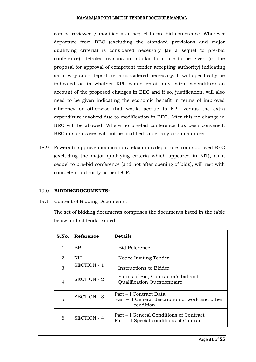can be reviewed / modified as a sequel to pre-bid conference. Wherever departure from BEC (excluding the standard provisions and major qualifying criteria) is considered necessary (as a sequel to pre-bid conference), detailed reasons in tabular form are to be given (in the proposal for approval of competent tender accepting authority) indicating as to why such departure is considered necessary. It will specifically be indicated as to whether KPL would entail any extra expenditure on account of the proposed changes in BEC and if so, justification, will also need to be given indicating the economic benefit in terms of improved efficiency or otherwise that would accrue to KPL versus the extra expenditure involved due to modification in BEC. After this no change in BEC will be allowed. Where no pre-bid conference has been convened, BEC in such cases will not be modified under any circumstances.

18.9 Powers to approve modification/relaxation/departure from approved BEC (excluding the major qualifying criteria which appeared in NIT), as a sequel to pre-bid conference (and not after opening of bids), will rest with competent authority as per DOP.

#### 19.0 **BIDDINGDOCUMENTS:**

#### 19.1 Content of Bidding Documents:

The set of bidding documents comprises the documents listed in the table below and addenda issued:

| S.No. | Reference          | <b>Details</b>                                                                         |
|-------|--------------------|----------------------------------------------------------------------------------------|
| 1     | BR                 | <b>Bid Reference</b>                                                                   |
| 2     | <b>NIT</b>         | Notice Inviting Tender                                                                 |
| 3     | <b>SECTION - 1</b> | Instructions to Bidder                                                                 |
| 4     | <b>SECTION - 2</b> | Forms of Bid, Contractor's bid and<br>Qualification Questionnaire                      |
| 5     | <b>SECTION - 3</b> | Part – I Contract Data<br>Part – II General description of work and other<br>condition |
| 6     | <b>SECTION - 4</b> | Part – I General Conditions of Contract<br>Part - II Special conditions of Contract    |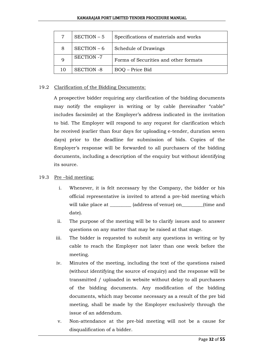#### KAMARAJAR PORT LIMITED TENDER PROCEDURE MANUAL

| $\overline{7}$ | SECTION - 5       | Specifications of materials and works |
|----------------|-------------------|---------------------------------------|
| 8              | SECTION - 6       | Schedule of Drawings                  |
|                | <b>SECTION -7</b> | Forms of Securities and other formats |
| 10             | <b>SECTION -8</b> | BOQ – Price Bid                       |

#### 19.2 Clarification of the Bidding Documents:

A prospective bidder requiring any clarification of the bidding documents may notify the employer in writing or by cable (hereinafter "cable" includes facsimile) at the Employer's address indicated in the invitation to bid. The Employer will respond to any request for clarification which he received (earlier than four days for uploading e-tender, duration seven days) prior to the deadline for submission of bids. Copies of the Employer's response will be forwarded to all purchasers of the bidding documents, including a description of the enquiry but without identifying its source.

#### 19.3 Pre –bid meeting:

- i. Whenever, it is felt necessary by the Company, the bidder or his official representative is invited to attend a pre-bid meeting which will take place at  $\qquad \qquad$  (address of venue) on  $\qquad \qquad$  (time and date).
- ii. The purpose of the meeting will be to clarify issues and to answer questions on any matter that may be raised at that stage.
- iii. The bidder is requested to submit any questions in writing or by cable to reach the Employer not later than one week before the meeting.
- iv. Minutes of the meeting, including the text of the questions raised (without identifying the source of enquiry) and the response will be transmitted / uploaded in website without delay to all purchasers of the bidding documents. Any modification of the bidding documents, which may become necessary as a result of the pre bid meeting, shall be made by the Employer exclusively through the issue of an addendum.
- v. Non-attendance at the pre-bid meeting will not be a cause for disqualification of a bidder.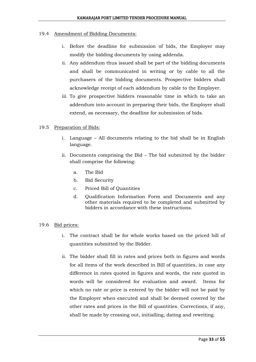#### 19.4 Amendment of Bidding Documents:

- i. Before the deadline for submission of bids, the Employer may modify the bidding documents by using addenda.
- ii. Any addendum thus issued shall be part of the bidding documents and shall be communicated in writing or by cable to all the purchasers of the bidding documents. Prospective bidders shall acknowledge receipt of each addendum by cable to the Employer.
- iii. To give prospective bidders reasonable time in which to take an addendum into account in preparing their bids, the Employer shall extend, as necessary, the deadline for submission of bids.

#### 19.5 Preparation of Bids:

- i. Language All documents relating to the bid shall be in English language.
- ii. Documents comprising the Bid The bid submitted by the bidder shall comprise the following:
	- a. The Bid
	- b. Bid Security
	- c. Priced Bill of Quantities
	- d. Qualification Information Form and Documents and any other materials required to be completed and submitted by bidders in accordance with these instructions.

#### 19.6 Bid prices:

- i. The contract shall be for whole works based on the priced bill of quantities submitted by the Bidder.
- ii. The bidder shall fill in rates and prices both in figures and words for all items of the work described in Bill of quantities, in case any difference in rates quoted in figures and words, the rate quoted in words will be considered for evaluation and award. Items for which no rate or price is entered by the bidder will not be paid by the Employer when executed and shall be deemed covered by the other rates and prices in the Bill of quantities. Corrections, if any, shall be made by crossing out, initialling, dating and rewriting.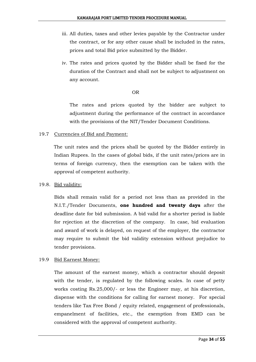- iii. All duties, taxes and other levies payable by the Contractor under the contract, or for any other cause shall be included in the rates, prices and total Bid price submitted by the Bidder.
- iv. The rates and prices quoted by the Bidder shall be fixed for the duration of the Contract and shall not be subject to adjustment on any account.

#### OR

The rates and prices quoted by the bidder are subject to adjustment during the performance of the contract in accordance with the provisions of the NIT/Tender Document Conditions.

#### 19.7 Currencies of Bid and Payment:

The unit rates and the prices shall be quoted by the Bidder entirely in Indian Rupees. In the cases of global bids, if the unit rates/prices are in terms of foreign currency, then the exemption can be taken with the approval of competent authority.

#### 19.8. Bid validity:

Bids shall remain valid for a period not less than as provided in the N.I.T./Tender Documents, **one hundred and twenty days** after the deadline date for bid submission. A bid valid for a shorter period is liable for rejection at the discretion of the company. In case, bid evaluation and award of work is delayed, on request of the employer, the contractor may require to submit the bid validity extension without prejudice to tender provisions.

#### 19.9 Bid Earnest Money:

The amount of the earnest money, which a contractor should deposit with the tender, is regulated by the following scales. In case of petty works costing Rs.25,000/- or less the Engineer may, at his discretion, dispense with the conditions for calling for earnest money. For special tenders like Tax Free Bond / equity related, engagement of professionals, empanelment of facilities, etc., the exemption from EMD can be considered with the approval of competent authority.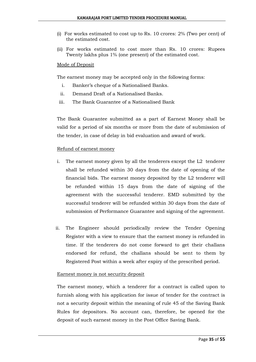- (i) For works estimated to cost up to Rs. 10 crores: 2% (Two per cent) of the estimated cost.
- (ii) For works estimated to cost more than Rs. 10 crores: Rupees Twenty lakhs plus 1% (one present) of the estimated cost.

#### Mode of Deposit

The earnest money may be accepted only in the following forms:

- i. Banker's cheque of a Nationalised Banks.
- ii. Demand Draft of a Nationalised Banks.
- iii. The Bank Guarantee of a Nationalised Bank

The Bank Guarantee submitted as a part of Earnest Money shall be valid for a period of six months or more from the date of submission of the tender, in case of delay in bid evaluation and award of work.

#### Refund of earnest money

- i. The earnest money given by all the tenderers except the L2 tenderer shall be refunded within 30 days from the date of opening of the financial bids. The earnest money deposited by the L2 tenderer will be refunded within 15 days from the date of signing of the agreement with the successful tenderer. EMD submitted by the successful tenderer will be refunded within 30 days from the date of submission of Performance Guarantee and signing of the agreement.
- ii. The Engineer should periodically review the Tender Opening Register with a view to ensure that the earnest money is refunded in time. If the tenderers do not come forward to get their challans endorsed for refund, the challans should be sent to them by Registered Post within a week after expiry of the prescribed period.

#### Earnest money is not security deposit

The earnest money, which a tenderer for a contract is called upon to furnish along with his application for issue of tender for the contract is not a security deposit within the meaning of rule 45 of the Saving Bank Rules for depositors. No account can, therefore, be opened for the deposit of such earnest money in the Post Office Saving Bank.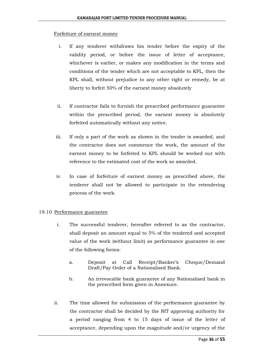#### Forfeiture of earnest money

- i. If any tenderer withdraws his tender before the expiry of the validity period, or before the issue of letter of acceptance, whichever is earlier, or makes any modification in the terms and conditions of the tender which are not acceptable to KPL, then the KPL shall, without prejudice to any other right or remedy, be at liberty to forfeit 50% of the earnest money absolutely
- ii. If contractor fails to furnish the prescribed performance guarantee within the prescribed period, the earnest money is absolutely forfeited automatically without any notice.
- iii. If only a part of the work as shown in the tender is awarded, and the contractor does not commence the work, the amount of the earnest money to be forfeited to KPL should be worked out with reference to the estimated cost of the work so awarded.
- iv. In case of forfeiture of earnest money as prescribed above, the tenderer shall not be allowed to participate in the retendering process of the work.

#### 19.10 Performance guarantee

- i. The successful tenderer, hereafter referred to as the contractor, shall deposit an amount equal to 5% of the tendered and accepted value of the work (without limit) as performance guarantee in one of the following forms:
	- a. Deposit at Call Receipt/Banker's Cheque/Demand Draft/Pay Order of a Nationalised Bank.
	- b. An irrevocable bank guarantee of any Nationalised bank in the prescribed form given in Annexure.
- ii. The time allowed for submission of the performance guarantee by the contractor shall be decided by the NIT approving authority for a period ranging from 4 to 15 days of issue of the letter of acceptance, depending upon the magnitude and/or urgency of the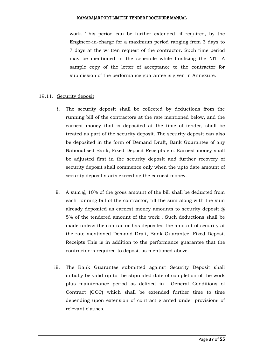work. This period can be further extended, if required, by the Engineer-in-charge for a maximum period ranging from 3 days to 7 days at the written request of the contractor. Such time period may be mentioned in the schedule while finalizing the NIT. A sample copy of the letter of acceptance to the contractor for submission of the performance guarantee is given in Annexure.

#### 19.11. Security deposit

- i. The security deposit shall be collected by deductions from the running bill of the contractors at the rate mentioned below, and the earnest money that is deposited at the time of tender, shall be treated as part of the security deposit. The security deposit can also be deposited in the form of Demand Draft, Bank Guarantee of any Nationalised Bank, Fixed Deposit Receipts etc. Earnest money shall be adjusted first in the security deposit and further recovery of security deposit shall commence only when the upto date amount of security deposit starts exceeding the earnest money.
- ii. A sum  $\omega$  10% of the gross amount of the bill shall be deducted from each running bill of the contractor, till the sum along with the sum already deposited as earnest money amounts to security deposit  $(a)$ 5% of the tendered amount of the work . Such deductions shall be made unless the contractor has deposited the amount of security at the rate mentioned Demand Draft, Bank Guarantee, Fixed Deposit Receipts This is in addition to the performance guarantee that the contractor is required to deposit as mentioned above.
- iii. The Bank Guarantee submitted against Security Deposit shall initially be valid up to the stipulated date of completion of the work plus maintenance period as defined in General Conditions of Contract (GCC) which shall be extended further time to time depending upon extension of contract granted under provisions of relevant clauses.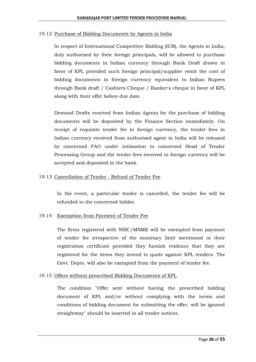#### 19.12 Purchase of Bidding Documents by Agents in India

In respect of International Competitive Bidding (ICB), the Agents in India, duly authorized by their foreign principals, will be allowed to purchase bidding documents in Indian currency through Bank Draft drawn in favor of KPL provided such foreign principal/supplier remit the cost of bidding documents in foreign currency equivalent to Indian Rupees through Bank draft / Cashiers Cheque / Banker's cheque in favor of KPL along with their offer before due date.

Demand Drafts received from Indian Agents for the purchase of bidding documents will be deposited by the Finance Section immediately. On receipt of requisite tender fee in foreign currency, the tender fees in Indian currency received from authorized agent in India will be released by concerned FAO under intimation to concerned Head of Tender Processing Group and the tender fees received in foreign currency will be accepted and deposited in the bank.

#### 19.13 Cancellation of Tender - Refund of Tender Fee

In the event, a particular tender is cancelled, the tender fee will be refunded to the concerned bidder.

#### 19.14 Exemption from Payment of Tender Fee

The firms registered with NSIC/MSME will be exempted from payment of tender fee irrespective of the monetary limit mentioned in their registration certificate provided they furnish evidence that they are registered for the items they intend to quote against KPL tenders. The Govt. Depts. will also be exempted from the payment of tender fee.

#### 19.15 Offers without prescribed Bidding Documents of KPL

The condition "Offer sent without having the prescribed bidding document of KPL and/or without complying with the terms and conditions of bidding document for submitting the offer, will be ignored straightway" should be inserted in all tender notices.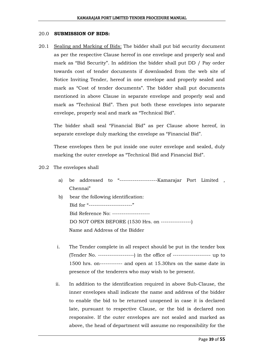#### 20.0 **SUBMISSION OF BIDS:**

20.1 Sealing and Marking of Bids: The bidder shall put bid security document as per the respective Clause hereof in one envelope and properly seal and mark as "Bid Security". In addition the bidder shall put DD / Pay order towards cost of tender documents if downloaded from the web site of Notice Inviting Tender, hereof in one envelope and properly sealed and mark as "Cost of tender documents". The bidder shall put documents mentioned in above Clause in separate envelope and properly seal and mark as "Technical Bid". Then put both these envelopes into separate envelope, properly seal and mark as "Technical Bid".

The bidder shall seal "Financial Bid" as per Clause above hereof, in separate envelope duly marking the envelope as "Financial Bid".

These envelopes then be put inside one outer envelope and sealed, duly marking the outer envelope as "Technical Bid and Financial Bid".

#### 20.2 The envelopes shall

- a) be addressed to "----------------------Kamarajar Port Limited, Chennai"
- b) bear the following identification: Bid for "-------------------------" Bid Reference No: -------------------- DO NOT OPEN BEFORE (1530 Hrs. on ----------------) Name and Address of the Bidder
- i. The Tender complete in all respect should be put in the tender box (Tender No. -------------------) in the office of -------------------- up to 1500 hrs. on------------ and open at 15.30hrs on the same date in presence of the tenderers who may wish to be present.
- ii. In addition to the identification required in above Sub-Clause, the inner envelopes shall indicate the name and address of the bidder to enable the bid to be returned unopened in case it is declared late, pursuant to respective Clause, or the bid is declared non responsive. If the outer envelopes are not sealed and marked as above, the head of department will assume no responsibility for the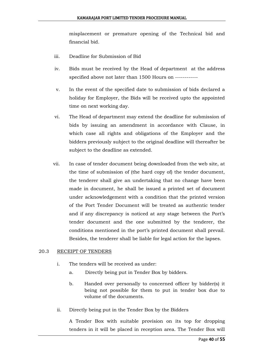misplacement or premature opening of the Technical bid and financial bid.

- iii. Deadline for Submission of Bid
- iv. Bids must be received by the Head of department at the address specified above not later than 1500 Hours on ------------
- v. In the event of the specified date to submission of bids declared a holiday for Employer, the Bids will be received upto the appointed time on next working day.
- vi. The Head of department may extend the deadline for submission of bids by issuing an amendment in accordance with Clause, in which case all rights and obligations of the Employer and the bidders previously subject to the original deadline will thereafter be subject to the deadline as extended.
- vii. In case of tender document being downloaded from the web site, at the time of submission of (the hard copy of) the tender document, the tenderer shall give an undertaking that no change have been made in document, he shall be issued a printed set of document under acknowledgement with a condition that the printed version of the Port Tender Document will be treated as authentic tender and if any discrepancy is noticed at any stage between the Port's tender document and the one submitted by the tenderer, the conditions mentioned in the port's printed document shall prevail. Besides, the tenderer shall be liable for legal action for the lapses.

#### 20.3 RECEIPT OF TENDERS

- i. The tenders will be received as under:
	- a. Directly being put in Tender Box by bidders.
	- b. Handed over personally to concerned officer by bidder(s) it being not possible for them to put in tender box due to volume of the documents.
- ii. Directly being put in the Tender Box by the Bidders

A Tender Box with suitable provision on its top for dropping tenders in it will be placed in reception area. The Tender Box will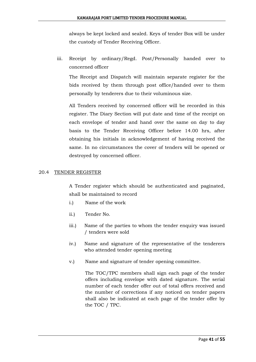always be kept locked and sealed. Keys of tender Box will be under the custody of Tender Receiving Officer.

iii. Receipt by ordinary/Regd. Post/Personally handed over to concerned officer

The Receipt and Dispatch will maintain separate register for the bids received by them through post office/handed over to them personally by tenderers due to their voluminous size.

All Tenders received by concerned officer will be recorded in this register. The Diary Section will put date and time of the receipt on each envelope of tender and hand over the same on day to day basis to the Tender Receiving Officer before 14.00 hrs, after obtaining his initials in acknowledgement of having received the same. In no circumstances the cover of tenders will be opened or destroyed by concerned officer.

#### 20.4 TENDER REGISTER

A Tender register which should be authenticated and paginated, shall be maintained to record

- i.) Name of the work
- ii.) Tender No.
- iii.) Name of the parties to whom the tender enquiry was issued / tenders were sold
- iv.) Name and signature of the representative of the tenderers who attended tender opening meeting
- v.) Name and signature of tender opening committee.

The TOC/TPC members shall sign each page of the tender offers including envelope with dated signature. The serial number of each tender offer out of total offers received and the number of corrections if any noticed on tender papers shall also be indicated at each page of the tender offer by the TOC / TPC.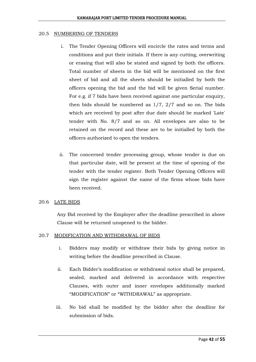#### 20.5 NUMBERING OF TENDERS

- i. The Tender Opening Officers will encircle the rates and terms and conditions and put their initials. If there is any cutting, overwriting or erasing that will also be stated and signed by both the officers. Total number of sheets in the bid will be mentioned on the first sheet of bid and all the sheets should be initialled by both the officers opening the bid and the bid will be given Serial number. For e.g. if 7 bids have been received against one particular enquiry, then bids should be numbered as 1/7, 2/7 and so on. The bids which are received by post after due date should be marked 'Late' tender with No. 8/7 and so on. All envelopes are also to be retained on the record and these are to be initialled by both the officers authorized to open the tenders.
- ii. The concerned tender processing group, whose tender is due on that particular date, will be present at the time of opening of the tender with the tender register. Both Tender Opening Officers will sign the register against the name of the firms whose bids have been received.

#### 20.6 LATE BIDS

Any Bid received by the Employer after the deadline prescribed in above Clause will be returned unopened to the bidder.

#### 20.7 MODIFICATION AND WITHDRAWAL OF BIDS

- i. Bidders may modify or withdraw their bids by giving notice in writing before the deadline prescribed in Clause.
- ii. Each Bidder's modification or withdrawal notice shall be prepared, sealed, marked and delivered in accordance with respective Clauses, with outer and inner envelopes additionally marked "MODIFICATION" or "WITHDRAWAL" as appropriate.
- iii. No bid shall be modified by the bidder after the deadline for submission of bids.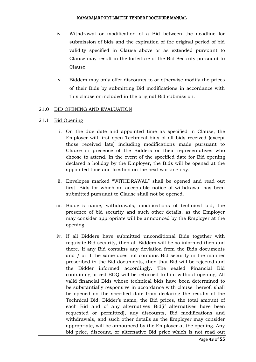- iv. Withdrawal or modification of a Bid between the deadline for submission of bids and the expiration of the original period of bid validity specified in Clause above or as extended pursuant to Clause may result in the forfeiture of the Bid Security pursuant to Clause.
- v. Bidders may only offer discounts to or otherwise modify the prices of their Bids by submitting Bid modifications in accordance with this clause or included in the original Bid submission.

#### 21.0 BID OPENING AND EVALUATION

#### 21.1 Bid Opening

- i. On the due date and appointed time as specified in Clause, the Employer will first open Technical bids of all bids received (except those received late) including modifications made pursuant to Clause in presence of the Bidders or their representatives who choose to attend. In the event of the specified date for Bid opening declared a holiday by the Employer, the Bids will be opened at the appointed time and location on the next working day.
- ii. Envelopes marked "WITHDRAWAL" shall be opened and read out first. Bids for which an acceptable notice of withdrawal has been submitted pursuant to Clause shall not be opened.
- iii. Bidder's name, withdrawals, modifications of technical bid, the presence of bid security and such other details, as the Employer may consider appropriate will be announced by the Employer at the opening.
- iv. If all Bidders have submitted unconditional Bids together with requisite Bid security, then all Bidders will be so informed then and there. If any Bid contains any deviation from the Bids documents and / or if the same does not contains Bid security in the manner prescribed in the Bid documents, then that Bid will be rejected and the Bidder informed accordingly. The sealed Financial Bid containing priced BOQ will be returned to him without opening. All valid financial Bids whose technical bids have been determined to be substantially responsive in accordance with clause hereof, shall be opened on the specified date from declaring the results of the Technical Bid, Bidder's name, the Bid prices, the total amount of each Bid and of any alternatives Bid(if alternatives have been requested or permitted), any discounts, Bid modifications and withdrawals, and such other details as the Employer may consider appropriate, will be announced by the Employer at the opening. Any bid price, discount, or alternative Bid price which is not read out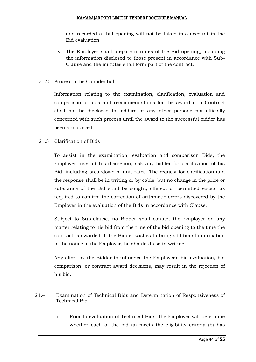and recorded at bid opening will not be taken into account in the Bid evaluation.

v. The Employer shall prepare minutes of the Bid opening, including the information disclosed to those present in accordance with Sub-Clause and the minutes shall form part of the contract.

#### 21.2 Process to be Confidential

Information relating to the examination, clarification, evaluation and comparison of bids and recommendations for the award of a Contract shall not be disclosed to bidders or any other persons not officially concerned with such process until the award to the successful bidder has been announced.

#### 21.3 Clarification of Bids

To assist in the examination, evaluation and comparison Bids, the Employer may, at his discretion, ask any bidder for clarification of his Bid, including breakdown of unit rates. The request for clarification and the response shall be in writing or by cable, but no change in the price or substance of the Bid shall be sought, offered, or permitted except as required to confirm the correction of arithmetic errors discovered by the Employer in the evaluation of the Bids in accordance with Clause.

Subject to Sub-clause, no Bidder shall contact the Employer on any matter relating to his bid from the time of the bid opening to the time the contract is awarded. If the Bidder wishes to bring additional information to the notice of the Employer, he should do so in writing.

Any effort by the Bidder to influence the Employer's bid evaluation, bid comparison, or contract award decisions, may result in the rejection of his bid.

#### 21.4 Examination of Technical Bids and Determination of Responsiveness of Technical Bid

i. Prior to evaluation of Technical Bids, the Employer will determine whether each of the bid (a) meets the eligibility criteria (b) has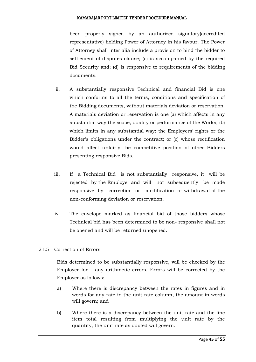been properly signed by an authorized signatory(accredited representative) holding Power of Attorney in his favour. The Power of Attorney shall inter alia include a provision to bind the bidder to settlement of disputes clause; (c) is accompanied by the required Bid Security and; (d) is responsive to requirements of the bidding documents.

- ii. A substantially responsive Technical and financial Bid is one which conforms to all the terms, conditions and specification of the Bidding documents, without materials deviation or reservation. A materials deviation or reservation is one (a) which affects in any substantial way the scope, quality or performance of the Works; (b) which limits in any substantial way; the Employers' rights or the Bidder's obligations under the contract; or (c) whose rectification would affect unfairly the competitive position of other Bidders presenting responsive Bids.
- iii. If a Technical Bid is not substantially responsive, it will be rejected by the Employer and will not subsequently be made responsive by correction or modification or withdrawal of the non-conforming deviation or reservation.
- iv. The envelope marked as financial bid of those bidders whose Technical bid has been determined to be non- responsive shall not be opened and will be returned unopened.

#### 21.5 Correction of Errors

Bids determined to be substantially responsive, will be checked by the Employer for any arithmetic errors. Errors will be corrected by the Employer as follows:

- a) Where there is discrepancy between the rates in figures and in words for any rate in the unit rate column, the amount in words will govern; and
- b) Where there is a discrepancy between the unit rate and the line item total resulting from multiplying the unit rate by the quantity, the unit rate as quoted will govern.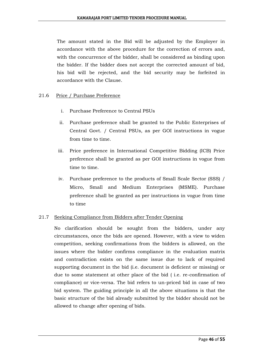The amount stated in the Bid will be adjusted by the Employer in accordance with the above procedure for the correction of errors and, with the concurrence of the bidder, shall be considered as binding upon the bidder. If the bidder does not accept the corrected amount of bid, his bid will be rejected, and the bid security may be forfeited in accordance with the Clause.

#### 21.6 Price / Purchase Preference

- i. Purchase Preference to Central PSUs
- ii. Purchase preference shall be granted to the Public Enterprises of Central Govt. / Central PSUs, as per GOI instructions in vogue from time to time.
- iii. Price preference in International Competitive Bidding (ICB) Price preference shall be granted as per GOI instructions in vogue from time to time.
- iv. Purchase preference to the products of Small Scale Sector (SSS) / Micro, Small and Medium Enterprises (MSME). Purchase preference shall be granted as per instructions in vogue from time to time

#### 21.7 Seeking Compliance from Bidders after Tender Opening

No clarification should be sought from the bidders, under any circumstances, once the bids are opened. However, with a view to widen competition, seeking confirmations from the bidders is allowed, on the issues where the bidder confirms compliance in the evaluation matrix and contradiction exists on the same issue due to lack of required supporting document in the bid (i.e. document is deficient or missing) or due to some statement at other place of the bid ( i.e. re-confirmation of compliance) or vice-versa. The bid refers to un-priced bid in case of two bid system. The guiding principle in all the above situations is that the basic structure of the bid already submitted by the bidder should not be allowed to change after opening of bids.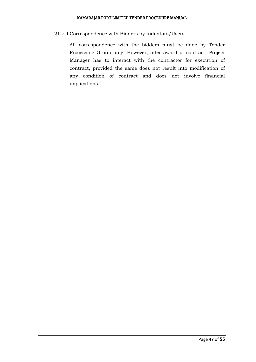#### 21.7.1 Correspondence with Bidders by Indentors/Users

All correspondence with the bidders must be done by Tender Processing Group only. However, after award of contract, Project Manager has to interact with the contractor for execution of contract, provided the same does not result into modification of any condition of contract and does not involve financial implications.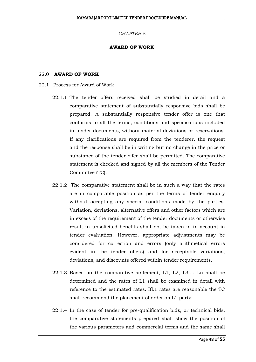#### *CHAPTER-5*

#### **AWARD OF WORK**

#### 22.0 **AWARD OF WORK**

#### 22.1 Process for Award of Work

- 22.1.1 The tender offers received shall be studied in detail and a comparative statement of substantially responsive bids shall be prepared. A substantially responsive tender offer is one that conforms to all the terms, conditions and specifications included in tender documents, without material deviations or reservations. If any clarifications are required from the tenderer, the request and the response shall be in writing but no change in the price or substance of the tender offer shall be permitted. The comparative statement is checked and signed by all the members of the Tender Committee (TC).
- 22.1.2 The comparative statement shall be in such a way that the rates are in comparable position as per the terms of tender enquiry without accepting any special conditions made by the parties. Variation, deviations, alternative offers and other factors which are in excess of the requirement of the tender documents or otherwise result in unsolicited benefits shall not be taken in to account in tender evaluation. However, appropriate adjustments may be considered for correction and errors (only arithmetical errors evident in the tender offers) and for acceptable variations, deviations, and discounts offered within tender requirements.
- 22.1.3 Based on the comparative statement, L1, L2, L3.... Ln shall be determined and the rates of L1 shall be examined in detail with reference to the estimated rates. IfL1 rates are reasonable the TC shall recommend the placement of order on L1 party.
- 22.1.4 In the case of tender for pre-qualification bids, or technical bids, the comparative statements prepared shall show the position of the various parameters and commercial terms and the same shall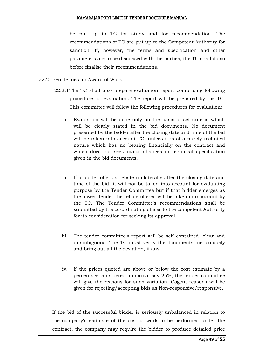be put up to TC for study and for recommendation. The recommendations of TC are put up to the Competent Authority for sanction. If, however, the terms and specification and other parameters are to be discussed with the parties, the TC shall do so before finalise their recommendations.

#### 22.2 Guidelines for Award of Work

- 22.2.1The TC shall also prepare evaluation report comprising following procedure for evaluation. The report will be prepared by the TC. This committee will follow the following procedures for evaluation:
	- i. Evaluation will be done only on the basis of set criteria which will be clearly stated in the bid documents. No document presented by the bidder after the closing date and time of the bid will be taken into account TC, unless it is of a purely technical nature which has no bearing financially on the contract and which does not seek major changes in technical specification given in the bid documents.
	- ii. If a bidder offers a rebate unilaterally after the closing date and time of the bid, it will not be taken into account for evaluating purpose by the Tender Committee but if that bidder emerges as the lowest tender the rebate offered will be taken into account by the TC. The Tender Committee's recommendations shall be submitted by the co-ordinating officer to the competent Authority for its consideration for seeking its approval.
	- iii. The tender committee's report will be self contained, clear and unambiguous. The TC must verify the documents meticulously and bring out all the deviation, if any.
	- iv. If the prices quoted are above or below the cost estimate by a percentage considered abnormal say 25%, the tender committee will give the reasons for such variation. Cogent reasons will be given for rejecting/accepting bids as Non-responsive/responsive.

If the bid of the successful bidder is seriously unbalanced in relation to the company's estimate of the cost of work to be performed under the contract, the company may require the bidder to produce detailed price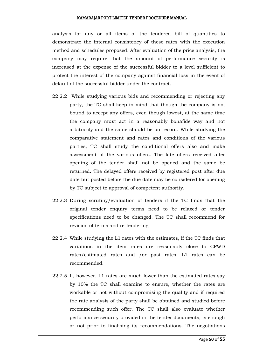analysis for any or all items of the tendered bill of quantities to demonstrate the internal consistency of these rates with the execution method and schedules proposed. After evaluation of the price analysis, the company may require that the amount of performance security is increased at the expense of the successful bidder to a level sufficient to protect the interest of the company against financial loss in the event of default of the successful bidder under the contract.

- 22.2.2 While studying various bids and recommending or rejecting any party, the TC shall keep in mind that though the company is not bound to accept any offers, even though lowest, at the same time the company must act in a reasonably bonafide way and not arbitrarily and the same should be on record. While studying the comparative statement and rates and conditions of the various parties, TC shall study the conditional offers also and make assessment of the various offers. The late offers received after opening of the tender shall not be opened and the same be returned. The delayed offers received by registered post after due date but posted before the due date may be considered for opening by TC subject to approval of competent authority.
- 22.2.3 During scrutiny/evaluation of tenders if the TC finds that the original tender enquiry terms need to be relaxed or tender specifications need to be changed. The TC shall recommend for revision of terms and re-tendering.
- 22.2.4 While studying the L1 rates with the estimates, if the TC finds that variations in the item rates are reasonably close to CPWD rates/estimated rates and /or past rates, L1 rates can be recommended.
- 22.2.5 If, however, L1 rates are much lower than the estimated rates say by 10% the TC shall examine to ensure, whether the rates are workable or not without compromising the quality and if required the rate analysis of the party shall be obtained and studied before recommending such offer. The TC shall also evaluate whether performance security provided in the tender documents, is enough or not prior to finalising its recommendations. The negotiations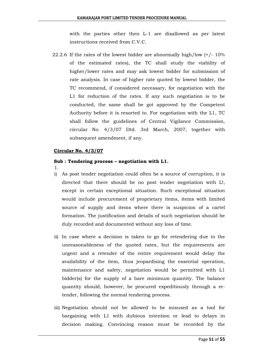with the parties other then L-1 are disallowed as per latest instructions received from C.V.C.

22.2.6 If the rates of the lowest bidder are abnormally high/low (+/- 10% of the estimated rates), the TC shall study the viability of higher/lower rates and may ask lowest bidder for submission of rate analysis. In case of higher rate quoted by lowest bidder, the TC recommend, if considered necessary, for negotiation with the L1 for reduction of the rates. If any such negotiation is to be conducted, the same shall be got approved by the Competent Authority before it is resorted to. For negotiation with the L1, TC shall follow the guidelines of Central Vigilance Commission, circular No. 4/3/07 Dtd. 3rd March, 2007, together with subsequent amendment, if any.

#### **Circular No. 4/3/07**

#### **Sub : Tendering process – negotiation with L1.**

- 1.
- i) As post tender negotiation could often be a source of corruption, it is directed that there should be no post tender negotiation with L!, except in certain exceptional situation. Such exceptional situation would include procurement of proprietary items, items with limited source of supply and items where there is suspicion of a cartel formation. The justification and details of such negotiation should be duly recorded and documented without any loss of time.
- ii) In case where a decision is taken to go for retendering due to the unreasonableness of the quoted rates, but the requirements are urgent and a retender of the entire requirement would delay the availability of the item, thus jeopardising the essential operation, maintenance and safety, negotiation would be permitted with L1 bidder(s) for the supply of a bare minimum quantity. The balance quantity should, however, be procured expeditiously through a retender, following the normal tendering process.
- iii) Negotiation should not be allowed to be misused as a tool for bargaining with L1 with dubious intention or lead to delays in decision making. Convincing reason must be recorded by the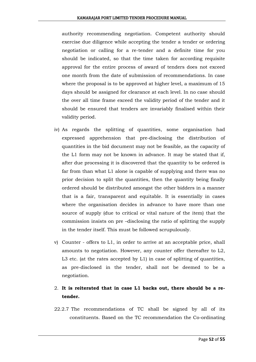authority recommending negotiation. Competent authority should exercise due diligence while accepting the tender a tender or ordering negotiation or calling for a re-tender and a definite time for you should be indicated, so that the time taken for according requisite approval for the entire process of award of tenders does not exceed one month from the date of submission of recommendations. In case where the proposal is to be approved at higher level, a maximum of 15 days should be assigned for clearance at each level. In no case should the over all time frame exceed the validity period of the tender and it should be ensured that tenders are invariably finalised within their validity period.

- iv) As regards the splitting of quantities, some organisation had expressed apprehension that pre-disclosing the distribution of quantities in the bid document may not be feasible, as the capacity of the L1 form may not be known in advance. It may be stated that if, after due processing it is discovered that the quantity to be ordered is far from than what L1 alone is capable of supplying and there was no prior decision to split the quantities, then the quantity being finally ordered should be distributed amongst the other bidders in a manner that is a fair, transparent and equitable. It is essentially in cases where the organisation decides in advance to have more than one source of supply (due to critical or vital nature of the item) that the commission insists on pre –disclosing the ratio of splitting the supply in the tender itself. This must be followed scrupulously.
- v) Counter offers to L1, in order to arrive at an acceptable price, shall amounts to negotiation. However, any counter offer thereafter to L2, L3 etc. (at the rates accepted by L1) in case of splitting of quantities, as pre-disclosed in the tender, shall not be deemed to be a negotiation.

### 2. **It is reiterated that in case L1 backs out, there should be a retender.**

22.2.7 The recommendations of TC shall be signed by all of its constituents. Based on the TC recommendation the Co-ordinating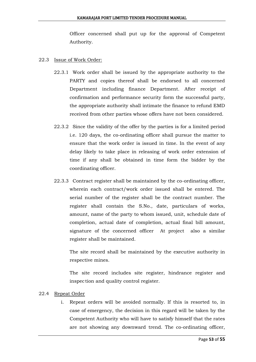Officer concerned shall put up for the approval of Competent Authority.

#### 22.3 Issue of Work Order:

- 22.3.1 Work order shall be issued by the appropriate authority to the PARTY and copies thereof shall be endorsed to all concerned Department including finance Department. After receipt of confirmation and performance security form the successful party, the appropriate authority shall intimate the finance to refund EMD received from other parties whose offers have not been considered.
- 22.3.2 Since the validity of the offer by the parties is for a limited period i.e. 120 days, the co-ordinating officer shall pursue the matter to ensure that the work order is issued in time. In the event of any delay likely to take place in releasing of work order extension of time if any shall be obtained in time form the bidder by the coordinating officer.
- 22.3.3 Contract register shall be maintained by the co-ordinating officer, wherein each contract/work order issued shall be entered. The serial number of the register shall be the contract number. The register shall contain the S.No., date, particulars of works, amount, name of the party to whom issued, unit, schedule date of completion, actual date of completion, actual final bill amount, signature of the concerned officer At project also a similar register shall be maintained.

The site record shall be maintained by the executive authority in respective mines.

The site record includes site register, hindrance register and inspection and quality control register.

#### 22.4 Repeat Order

i. Repeat orders will be avoided normally. If this is resorted to, in case of emergency, the decision in this regard will be taken by the Competent Authority who will have to satisfy himself that the rates are not showing any downward trend. The co-ordinating officer,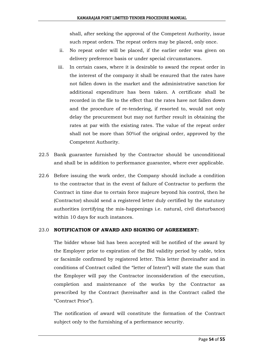shall, after seeking the approval of the Competent Authority, issue such repeat orders. The repeat orders may be placed, only once.

- ii. No repeat order will be placed, if the earlier order was given on delivery preference basis or under special circumstances.
- iii. In certain cases, where it is desirable to award the repeat order in the interest of the company it shall be ensured that the rates have not fallen down in the market and the administrative sanction for additional expenditure has been taken. A certificate shall be recorded in the file to the effect that the rates have not fallen down and the procedure of re-tendering, if resorted to, would not only delay the procurement but may not further result in obtaining the rates at par with the existing rates. The value of the repeat order shall not be more than 50%of the original order, approved by the Competent Authority.
- 22.5 Bank guarantee furnished by the Contractor should be unconditional and shall be in addition to performance guarantee, where ever applicable.
- 22.6 Before issuing the work order, the Company should include a condition to the contractor that in the event of failure of Contractor to perform the Contract in time due to certain force majeure beyond his control, then he (Contractor) should send a registered letter duly certified by the statutory authorities (certifying the mis-happenings i.e. natural, civil disturbance) within 10 days for such instances.

#### 23.0 **NOTIFICATION OF AWARD AND SIGNING OF AGREEMENT:**

The bidder whose bid has been accepted will be notified of the award by the Employer prior to expiration of the Bid validity period by cable, telex or facsimile confirmed by registered letter. This letter (hereinafter and in conditions of Contract called the "letter of Intent") will state the sum that the Employer will pay the Contractor inconsideration of the execution, completion and maintenance of the works by the Contractor as prescribed by the Contract (hereinafter and in the Contract called the ―Contract Price‖).

The notification of award will constitute the formation of the Contract subject only to the furnishing of a performance security.